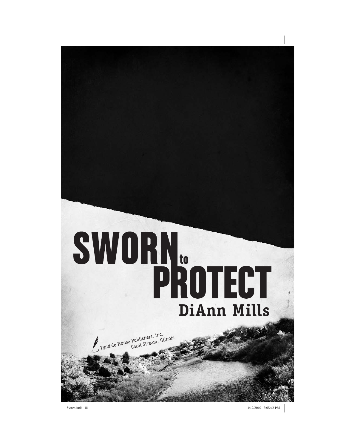# **SWORN.**<br>PROTECT

Tyndale House Publishers, Inc., Carol Stream, Illinois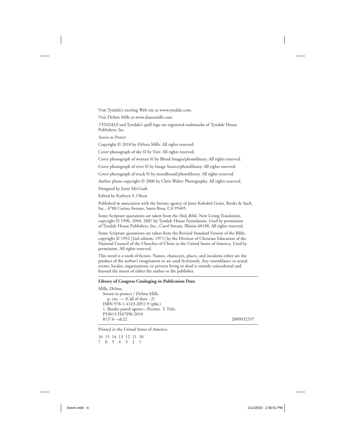Visit Tyndale's exciting Web site at www.tyndale.com.

Visit DiAnn Mills at www.diannmills.com.

*TYNDALE* and Tyndale's quill logo are registered trademarks of Tyndale House Publishers, Inc.

*Sworn to Protect*

Copyright © 2010 by DiAnn Mills. All rights reserved.

Cover photograph of sky © by Veer. All rights reserved.

Cover photograph of woman © by Blend Images/photolibrary. All rights reserved.

Cover photograph of river © by Image Source/photolibrary. All rights reserved.

Cover photograph of truck © by moodboard/photolibrary. All rights reserved.

Author photo copyright © 2006 by Chris Walter Photography. All rights reserved.

Designed by Jessie McGrath

Edited by Kathryn S. Olson

Published in association with the literary agency of Janet Kobobel Grant, Books & Such, Inc., 4788 Carissa Avenue, Santa Rosa, CA 95405.

Some Scripture quotations are taken from the *Holy Bible*, New Living Translation, copyright © 1996, 2004, 2007 by Tyndale House Foundation. Used by permission of Tyndale House Publishers, Inc., Carol Stream, Illinois 60188. All rights reserved.

Some Scripture quotations are taken from the Revised Standard Version of the Bible, copyright © 1952 [2nd edition, 1971] by the Division of Christian Education of the National Council of the Churches of Christ in the United States of America. Used by permission. All rights reserved.

This novel is a work of fiction. Names, characters, places, and incidents either are the product of the author's imagination or are used fictitiously. Any resemblance to actual events, locales, organizations, or persons living or dead is entirely coincidental and beyond the intent of either the author or the publisher.

### **Library of Congress Cataloging- in- Publication Data**

```
Mills, DiAnn.
Sworn to protect / DiAnn Mills.
  p. cm. — (Call of duty ; 2)
 ISBN 978-1-4143-2051-9 (pbk.)
 1. Border patrol agents—Fiction. I. Title.
 PS3613.I567S96 2010
 813′.6—dc22 2009032537
```
Printed in the United States of America

16 15 14 13 12 11 10 7 6 5 4 3 2 1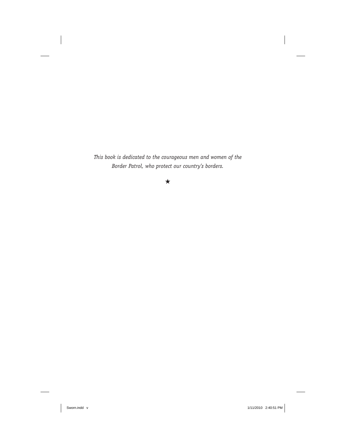*This book is dedicated to the courageous men and women of the Border Patrol, who protect our country's borders.*

### ★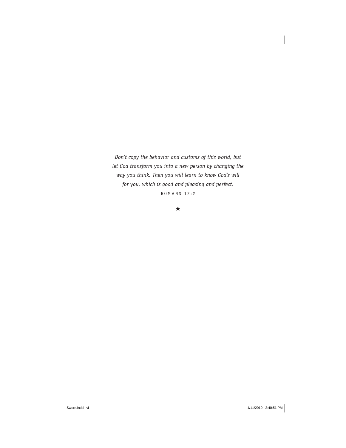*Don't copy the behavior and customs of this world, but let God transform you into a new person by changing the way you think. Then you will learn to know God's will for you, which is good and pleasing and perfect.* ROMANS 12:2

### ★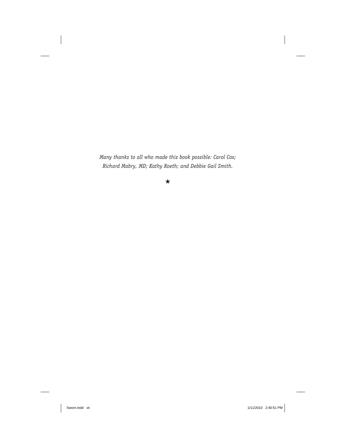*Many thanks to all who made this book possible: Carol Cox; Richard Mabry, MD; Kathy Roeth; and Debbie Gail Smith.*

### ★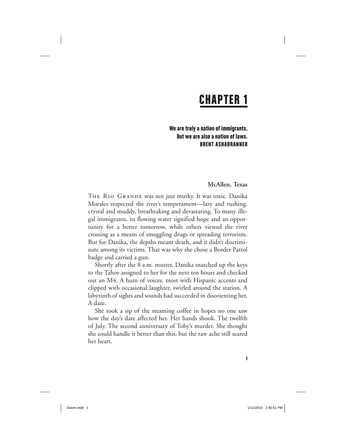# CHAPTER 1

We are truly a nation of immigrants. But we are also a nation of laws. BRENT ASHABRANNER

### **McAllen, Texas**

The Rio Grande was not just murky. It was toxic. Danika Morales respected the river's temperament—lazy and rushing, crystal and muddy, breathtaking and devastating. To many illegal immigrants, its flowing water signified hope and an opportunity for a better tomorrow, while others viewed the river crossing as a means of smuggling drugs or spreading terrorism. But for Danika, the depths meant death, and it didn't discriminate among its victims. That was why she chose a Border Patrol badge and carried a gun.

Shortly after the 8 a.m. muster, Danika snatched up the keys to the Tahoe assigned to her for the next ten hours and checked out an M4. A hum of voices, most with Hispanic accents and clipped with occasional laughter, swirled around the station. A labyrinth of sights and sounds had succeeded in disorienting her. A daze.

She took a sip of the steaming coffee in hopes no one saw how the day's date affected her. Her hands shook. The twelfth of July. The second anniversary of Toby's murder. She thought she could handle it better than this, but the raw ache still seared her heart.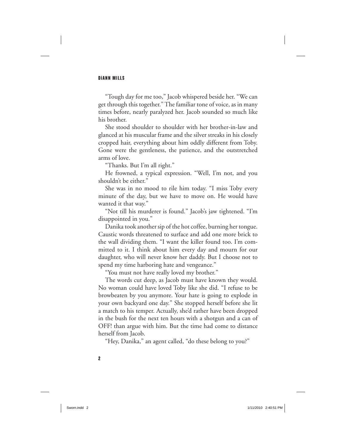"Tough day for me too," Jacob whispered beside her. "We can get through this together." The familiar tone of voice, as in many times before, nearly paralyzed her. Jacob sounded so much like his brother.

She stood shoulder to shoulder with her brother-in-law and glanced at his muscular frame and the silver streaks in his closely cropped hair, everything about him oddly different from Toby. Gone were the gentleness, the patience, and the outstretched arms of love.

"Thanks. But I'm all right."

He frowned, a typical expression. "Well, I'm not, and you shouldn't be either."

She was in no mood to rile him today. "I miss Toby every minute of the day, but we have to move on. He would have wanted it that way."

"Not till his murderer is found." Jacob's jaw tightened. "I'm disappointed in you."

 Danika took another sip of the hot coffee, burning her tongue. Caustic words threatened to surface and add one more brick to the wall dividing them. "I want the killer found too. I'm committed to it. I think about him every day and mourn for our daughter, who will never know her daddy. But I choose not to spend my time harboring hate and vengeance."

"You must not have really loved my brother."

The words cut deep, as Jacob must have known they would. No woman could have loved Toby like she did. "I refuse to be browbeaten by you anymore. Your hate is going to explode in your own backyard one day." She stopped herself before she lit a match to his temper. Actually, she'd rather have been dropped in the bush for the next ten hours with a shotgun and a can of OFF! than argue with him. But the time had come to distance herself from Jacob.

"Hey, Danika," an agent called, "do these belong to you?"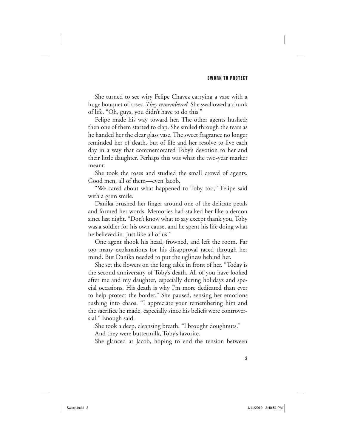She turned to see wiry Felipe Chavez carrying a vase with a huge bouquet of roses. *They remembered.* She swallowed a chunk of life. "Oh, guys, you didn't have to do this."

Felipe made his way toward her. The other agents hushed; then one of them started to clap. She smiled through the tears as he handed her the clear glass vase. The sweet fragrance no longer reminded her of death, but of life and her resolve to live each day in a way that commemorated Toby's devotion to her and their little daughter. Perhaps this was what the two-year marker meant.

She took the roses and studied the small crowd of agents. Good men, all of them—even Jacob.

"We cared about what happened to Toby too," Felipe said with a grim smile.

 Danika brushed her finger around one of the delicate petals and formed her words. Memories had stalked her like a demon since last night. "Don't know what to say except thank you. Toby was a soldier for his own cause, and he spent his life doing what he believed in. Just like all of us."

One agent shook his head, frowned, and left the room. Far too many explanations for his disapproval raced through her mind. But Danika needed to put the ugliness behind her.

She set the flowers on the long table in front of her. "Today is the second anniversary of Toby's death. All of you have looked after me and my daughter, especially during holidays and special occasions. His death is why I'm more dedicated than ever to help protect the border." She paused, sensing her emotions rushing into chaos. "I appreciate your remembering him and the sacrifice he made, especially since his beliefs were controversial." Enough said.

She took a deep, cleansing breath. "I brought doughnuts." And they were buttermilk, Toby's favorite.

She glanced at Jacob, hoping to end the tension between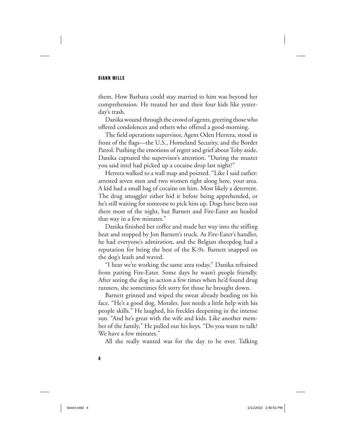them. How Barbara could stay married to him was beyond her comprehension. He treated her and their four kids like yesterday's trash.

 Danika wound through the crowd of agents, greeting those who offered condolences and others who offered a good-morning.

The field operations supervisor, Agent Oden Herrera, stood in front of the flags—the U.S., Homeland Security, and the Border Patrol. Pushing the emotions of regret and grief about Toby aside, Danika captured the supervisor's attention. "During the muster you said intel had picked up a cocaine drop last night?"

Herrera walked to a wall map and pointed. "Like I said earlier: arrested seven men and two women right along here, your area. A kid had a small bag of cocaine on him. Most likely a deterrent. The drug smuggler either hid it before being apprehended, or he's still waiting for someone to pick him up. Dogs have been out there most of the night, but Barnett and Fire-Eater are headed that way in a few minutes."

 Danika finished her coffee and made her way into the stifling heat and stopped by Jon Barnett's truck. As Fire-Eater's handler, he had everyone's admiration, and the Belgian sheepdog had a reputation for being the best of the K-9s. Barnett snapped on the dog's leash and waved.

"I hear we're working the same area today." Danika refrained from patting Fire-Eater. Some days he wasn't people friendly. After seeing the dog in action a few times when he'd found drug runners, she sometimes felt sorry for those he brought down.

Barnett grinned and wiped the sweat already beading on his face. "He's a good dog, Morales. Just needs a little help with his people skills." He laughed, his freckles deepening in the intense sun. "And he's great with the wife and kids. Like another member of the family." He pulled out his keys. "Do you want to talk? We have a few minutes."

All she really wanted was for the day to be over. Talking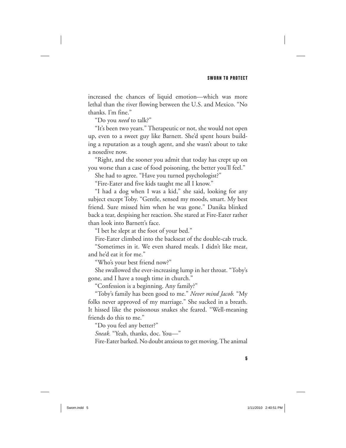increased the chances of liquid emotion—which was more lethal than the river flowing between the U.S. and Mexico. "No thanks. I'm fine."

"Do you *need* to talk?"

"It's been two years." Therapeutic or not, she would not open up, even to a sweet guy like Barnett. She'd spent hours building a reputation as a tough agent, and she wasn't about to take a nosedive now.

"Right, and the sooner you admit that today has crept up on you worse than a case of food poisoning, the better you'll feel."

She had to agree. "Have you turned psychologist?"

"Fire- Eater and five kids taught me all I know."

"I had a dog when I was a kid," she said, looking for any subject except Toby. "Gentle, sensed my moods, smart. My best friend. Sure missed him when he was gone." Danika blinked back a tear, despising her reaction. She stared at Fire- Eater rather than look into Barnett's face.

"I bet he slept at the foot of your bed."

Fire-Eater climbed into the backseat of the double-cab truck.

"Sometimes in it. We even shared meals. I didn't like meat, and he'd eat it for me."

"Who's your best friend now?"

She swallowed the ever-increasing lump in her throat. "Toby's gone, and I have a tough time in church."

"Confession is a beginning. Any family?"

"Toby's family has been good to me." *Never mind Jacob.* "My folks never approved of my marriage." She sucked in a breath. It hissed like the poisonous snakes she feared. "Well-meaning friends do this to me."

"Do you feel any better?"

*Sneak.* "Yeah, thanks, doc. You—"

Fire-Eater barked. No doubt anxious to get moving. The animal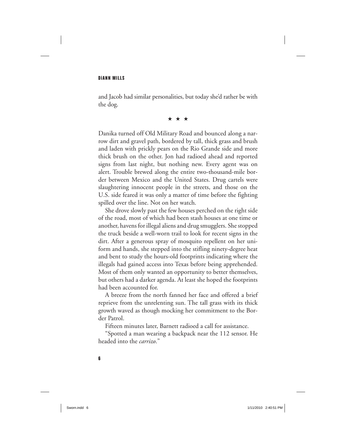and Jacob had similar personalities, but today she'd rather be with the dog.

★★★

 Danika turned off Old Military Road and bounced along a narrow dirt and gravel path, bordered by tall, thick grass and brush and laden with prickly pears on the Rio Grande side and more thick brush on the other. Jon had radioed ahead and reported signs from last night, but nothing new. Every agent was on alert. Trouble brewed along the entire two-thousand-mile border between Mexico and the United States. Drug cartels were slaughtering innocent people in the streets, and those on the U.S. side feared it was only a matter of time before the fighting spilled over the line. Not on her watch.

She drove slowly past the few houses perched on the right side of the road, most of which had been stash houses at one time or another, havens for illegal aliens and drug smugglers. She stopped the truck beside a well-worn trail to look for recent signs in the dirt. After a generous spray of mosquito repellent on her uniform and hands, she stepped into the stifling ninety- degree heat and bent to study the hours-old footprints indicating where the illegals had gained access into Texas before being apprehended. Most of them only wanted an opportunity to better themselves, but others had a darker agenda. At least she hoped the footprints had been accounted for.

A breeze from the north fanned her face and offered a brief reprieve from the unrelenting sun. The tall grass with its thick growth waved as though mocking her commitment to the Border Patrol.

Fifteen minutes later, Barnett radioed a call for assistance.

"Spotted a man wearing a backpack near the 112 sensor. He headed into the *carrizo*."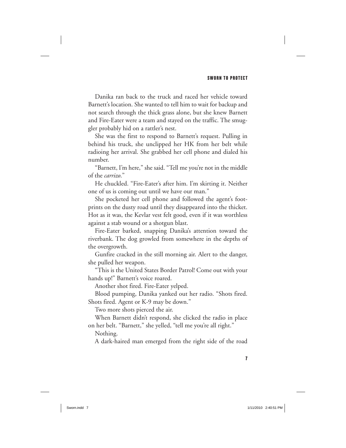Danika ran back to the truck and raced her vehicle toward Barnett's location. She wanted to tell him to wait for backup and not search through the thick grass alone, but she knew Barnett and Fire-Eater were a team and stayed on the traffic. The smuggler probably hid on a rattler's nest.

She was the first to respond to Barnett's request. Pulling in behind his truck, she unclipped her HK from her belt while radioing her arrival. She grabbed her cell phone and dialed his number.

"Barnett, I'm here," she said. "Tell me you're not in the middle of the *carrizo*."

He chuckled. "Fire-Eater's after him. I'm skirting it. Neither one of us is coming out until we have our man."

She pocketed her cell phone and followed the agent's footprints on the dusty road until they disappeared into the thicket. Hot as it was, the Kevlar vest felt good, even if it was worthless against a stab wound or a shotgun blast.

Fire-Eater barked, snapping Danika's attention toward the riverbank. The dog growled from somewhere in the depths of the overgrowth.

Gunfire cracked in the still morning air. Alert to the danger, she pulled her weapon.

"This is the United States Border Patrol! Come out with your hands up!" Barnett's voice roared.

Another shot fired. Fire-Eater yelped.

Blood pumping, Danika yanked out her radio. "Shots fired. Shots fired. Agent or K-9 may be down."

Two more shots pierced the air.

When Barnett didn't respond, she clicked the radio in place on her belt. "Barnett," she yelled, "tell me you're all right."

Nothing.

A dark-haired man emerged from the right side of the road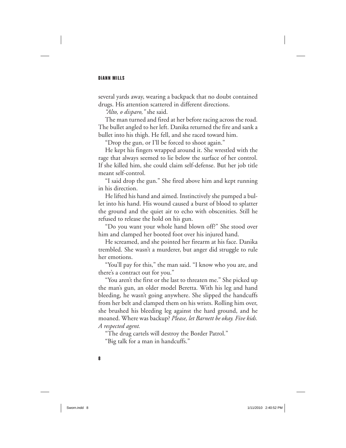several yards away, wearing a backpack that no doubt contained drugs. His attention scattered in different directions.

*"Alto, o disparo,"* she said.

The man turned and fired at her before racing across the road. The bullet angled to her left. Danika returned the fire and sank a bullet into his thigh. He fell, and she raced toward him.

"Drop the gun, or I'll be forced to shoot again."

He kept his fingers wrapped around it. She wrestled with the rage that always seemed to lie below the surface of her control. If she killed him, she could claim self- defense. But her job title meant self-control.

"I said drop the gun." She fired above him and kept running in his direction.

He lifted his hand and aimed. Instinctively she pumped a bullet into his hand. His wound caused a burst of blood to splatter the ground and the quiet air to echo with obscenities. Still he refused to release the hold on his gun.

"Do you want your whole hand blown off?" She stood over him and clamped her booted foot over his injured hand.

He screamed, and she pointed her firearm at his face. Danika trembled. She wasn't a murderer, but anger did struggle to rule her emotions.

"You'll pay for this," the man said. "I know who you are, and there's a contract out for you."

"You aren't the first or the last to threaten me." She picked up the man's gun, an older model Beretta. With his leg and hand bleeding, he wasn't going anywhere. She slipped the handcuffs from her belt and clamped them on his wrists. Rolling him over, she brushed his bleeding leg against the hard ground, and he moaned. Where was backup? *Please, let Barnett be okay. Five kids. A respected agent.*

"The drug cartels will destroy the Border Patrol."

"Big talk for a man in handcuffs."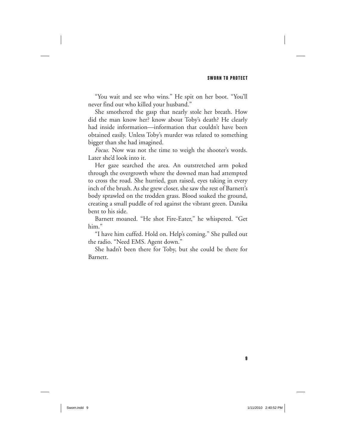"You wait and see who wins." He spit on her boot. "You'll never find out who killed your husband."

She smothered the gasp that nearly stole her breath. How did the man know her? know about Toby's death? He clearly had inside information—information that couldn't have been obtained easily. Unless Toby's murder was related to something bigger than she had imagined.

*Focus.* Now was not the time to weigh the shooter's words. Later she'd look into it.

Her gaze searched the area. An outstretched arm poked through the overgrowth where the downed man had attempted to cross the road. She hurried, gun raised, eyes taking in every inch of the brush. As she grew closer, she saw the rest of Barnett's body sprawled on the trodden grass. Blood soaked the ground, creating a small puddle of red against the vibrant green. Danika bent to his side.

Barnett moaned. "He shot Fire-Eater," he whispered. "Get him."

"I have him cuffed. Hold on. Help's coming." She pulled out the radio. "Need EMS. Agent down."

She hadn't been there for Toby, but she could be there for Barnett.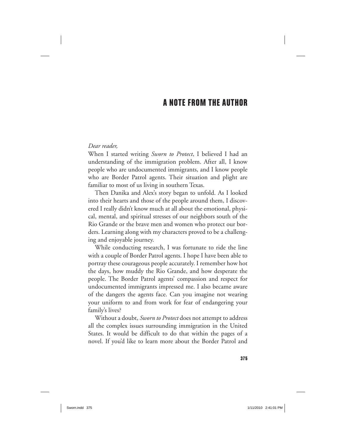## A NOTE FROM THE AUTHOR

### *Dear reader,*

When I started writing *Sworn to Protect*, I believed I had an understanding of the immigration problem. After all, I know people who are undocumented immigrants, and I know people who are Border Patrol agents. Their situation and plight are familiar to most of us living in southern Texas.

Then Danika and Alex's story began to unfold. As I looked into their hearts and those of the people around them, I discovered I really didn't know much at all about the emotional, physical, mental, and spiritual stresses of our neighbors south of the Rio Grande or the brave men and women who protect our borders. Learning along with my characters proved to be a challenging and enjoyable journey.

While conducting research, I was fortunate to ride the line with a couple of Border Patrol agents. I hope I have been able to portray these courageous people accurately. I remember how hot the days, how muddy the Rio Grande, and how desperate the people. The Border Patrol agents' compassion and respect for undocumented immigrants impressed me. I also became aware of the dangers the agents face. Can you imagine not wearing your uniform to and from work for fear of endangering your family's lives?

Without a doubt, *Sworn to Protect* does not attempt to address all the complex issues surrounding immigration in the United States. It would be difficult to do that within the pages of a novel. If you'd like to learn more about the Border Patrol and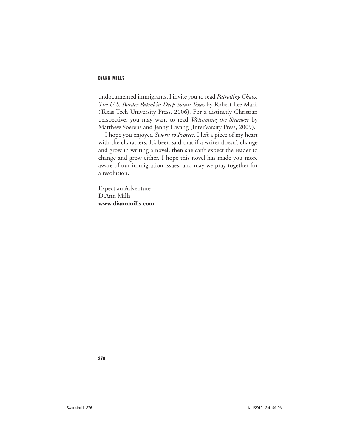undocumented immigrants, I invite you to read *Patrolling Chaos: The U.S. Border Patrol in Deep South Texas* by Robert Lee Maril (Texas Tech University Press, 2006). For a distinctly Christian perspective, you may want to read *Welcoming the Stranger* by Matthew Soerens and Jenny Hwang (InterVarsity Press, 2009).

I hope you enjoyed *Sworn to Protect*. I left a piece of my heart with the characters. It's been said that if a writer doesn't change and grow in writing a novel, then she can't expect the reader to change and grow either. I hope this novel has made you more aware of our immigration issues, and may we pray together for a resolution.

Expect an Adventure DiAnn Mills **www.diannmills.com**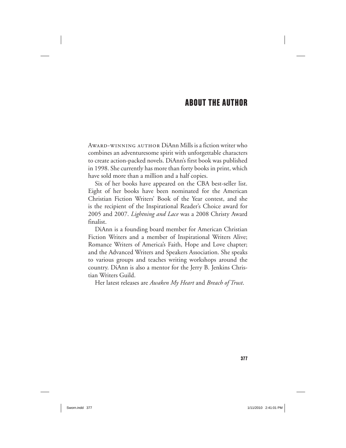# ABOUT THE AUTHOR

Award- winning author DiAnn Mills is a fiction writer who combines an adventuresome spirit with unforgettable characters to create action- packed novels. DiAnn's first book was published in 1998. She currently has more than forty books in print, which have sold more than a million and a half copies.

Six of her books have appeared on the CBA best-seller list. Eight of her books have been nominated for the American Christian Fiction Writers' Book of the Year contest, and she is the recipient of the Inspirational Reader's Choice award for 2005 and 2007. *Lightning and Lace* was a 2008 Christy Award finalist.

DiAnn is a founding board member for American Christian Fiction Writers and a member of Inspirational Writers Alive; Romance Writers of America's Faith, Hope and Love chapter; and the Advanced Writers and Speakers Association. She speaks to various groups and teaches writing workshops around the country. DiAnn is also a mentor for the Jerry B. Jenkins Christian Writers Guild.

Her latest releases are *Awaken My Heart* and *Breach of Trust*.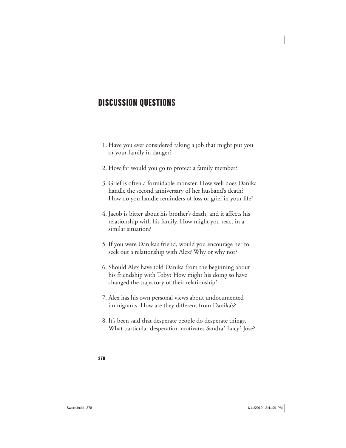# DISCUSSION QUESTIONS

- 1. Have you ever considered taking a job that might put you or your family in danger?
- 2. How far would you go to protect a family member?
- 3. Grief is often a formidable monster. How well does Danika handle the second anniversary of her husband's death? How do you handle reminders of loss or grief in your life?
- 4. Jacob is bitter about his brother's death, and it affects his relationship with his family. How might you react in a similar situation?
- 5. If you were Danika's friend, would you encourage her to seek out a relationship with Alex? Why or why not?
- 6. Should Alex have told Danika from the beginning about his friendship with Toby? How might his doing so have changed the trajectory of their relationship?
- 7. Alex has his own personal views about undocumented immigrants. How are they different from Danika's?
- 8. It's been said that desperate people do desperate things. What particular desperation motivates Sandra? Lucy? Jose?